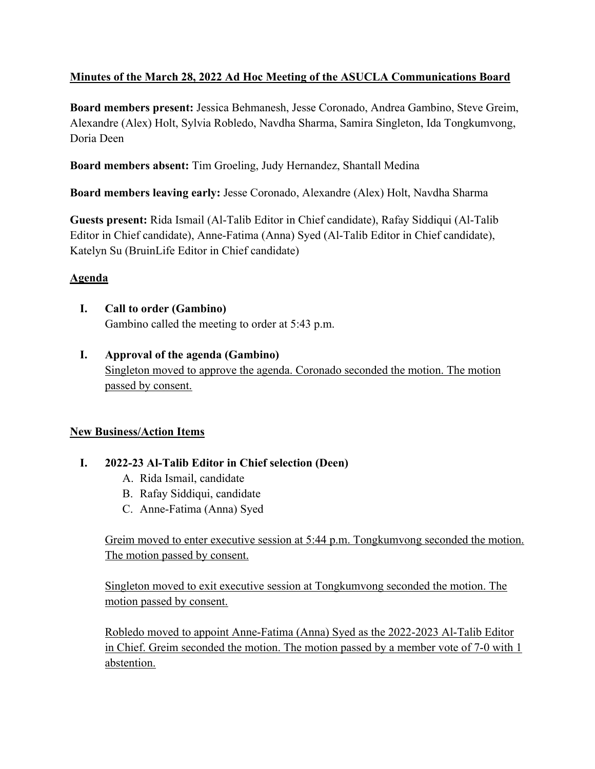# **Minutes of the March 28, 2022 Ad Hoc Meeting of the ASUCLA Communications Board**

**Board members present:** Jessica Behmanesh, Jesse Coronado, Andrea Gambino, Steve Greim, Alexandre (Alex) Holt, Sylvia Robledo, Navdha Sharma, Samira Singleton, Ida Tongkumvong, Doria Deen

**Board members absent:** Tim Groeling, Judy Hernandez, Shantall Medina

**Board members leaving early:** Jesse Coronado, Alexandre (Alex) Holt, Navdha Sharma

**Guests present:** Rida Ismail (Al-Talib Editor in Chief candidate), Rafay Siddiqui (Al-Talib Editor in Chief candidate), Anne-Fatima (Anna) Syed (Al-Talib Editor in Chief candidate), Katelyn Su (BruinLife Editor in Chief candidate)

#### **Agenda**

- **I. Call to order (Gambino)** Gambino called the meeting to order at 5:43 p.m.
- **I. Approval of the agenda (Gambino)** Singleton moved to approve the agenda. Coronado seconded the motion. The motion passed by consent.

#### **New Business/Action Items**

## **I. 2022-23 Al-Talib Editor in Chief selection (Deen)**

- A. Rida Ismail, candidate
- B. Rafay Siddiqui, candidate
- C. Anne-Fatima (Anna) Syed

Greim moved to enter executive session at 5:44 p.m. Tongkumvong seconded the motion. The motion passed by consent.

Singleton moved to exit executive session at Tongkumvong seconded the motion. The motion passed by consent.

Robledo moved to appoint Anne-Fatima (Anna) Syed as the 2022-2023 Al-Talib Editor in Chief. Greim seconded the motion. The motion passed by a member vote of 7-0 with 1 abstention.